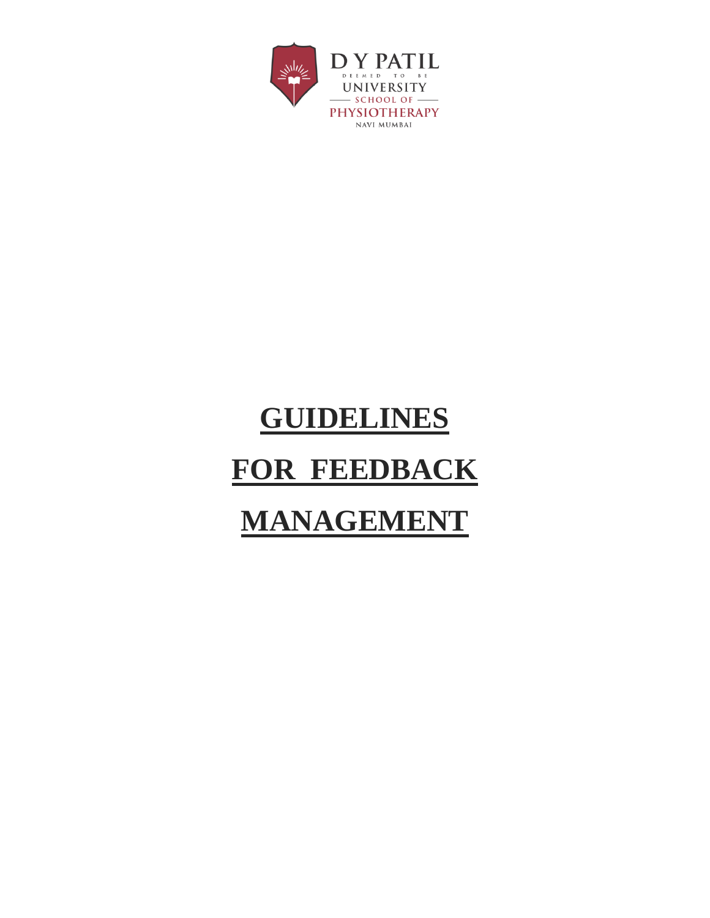

# **GUIDELINES FOR FEEDBACK MANAGEMENT**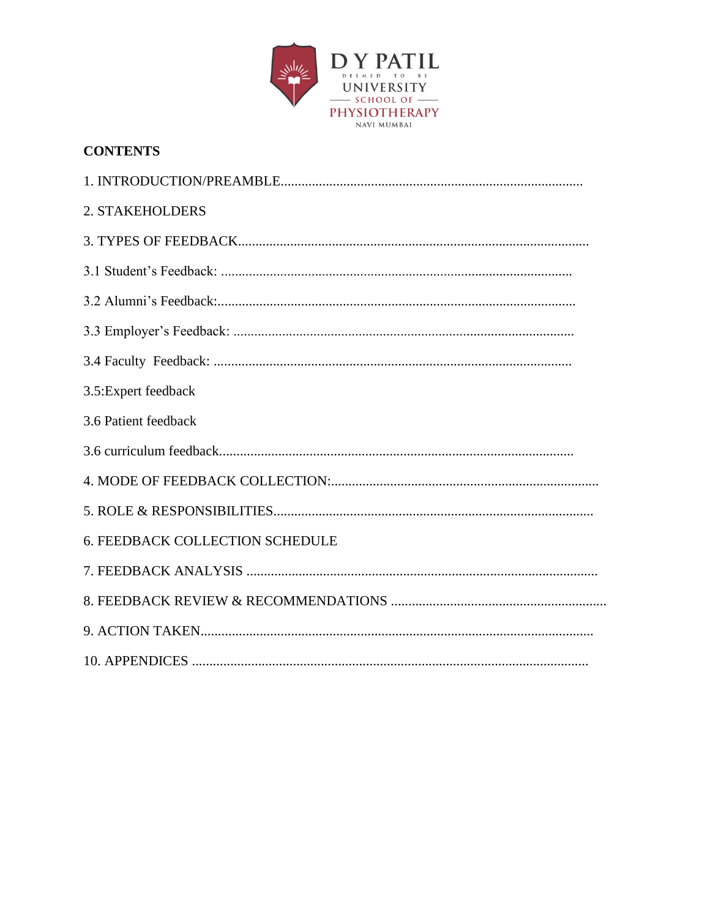

## **CONTENTS**

| 2. STAKEHOLDERS                        |
|----------------------------------------|
|                                        |
|                                        |
|                                        |
|                                        |
|                                        |
| 3.5: Expert feedback                   |
| 3.6 Patient feedback                   |
|                                        |
|                                        |
|                                        |
| <b>6. FEEDBACK COLLECTION SCHEDULE</b> |
|                                        |
|                                        |
|                                        |
|                                        |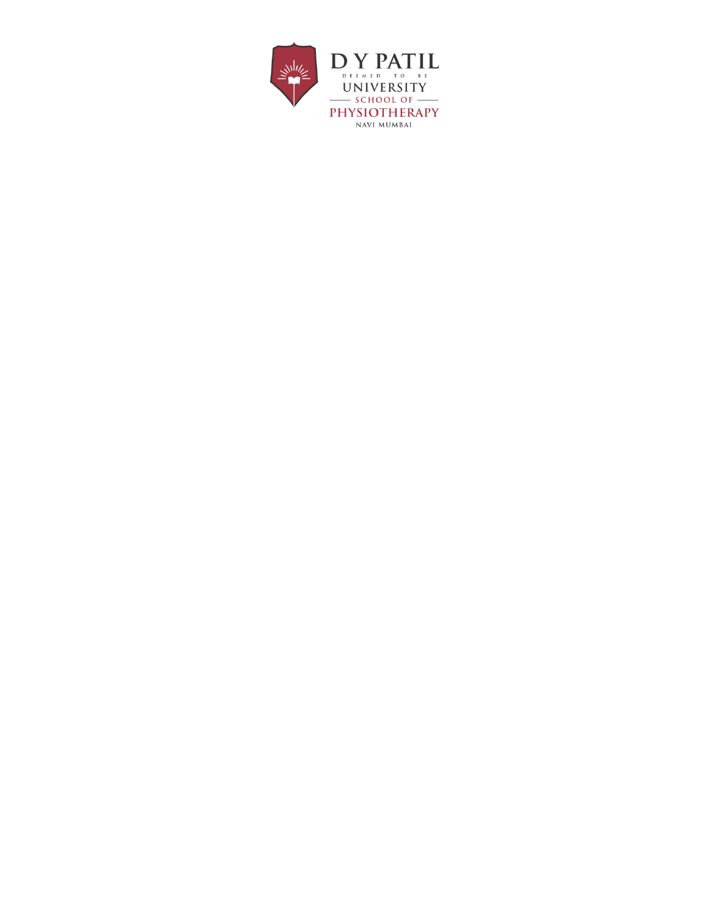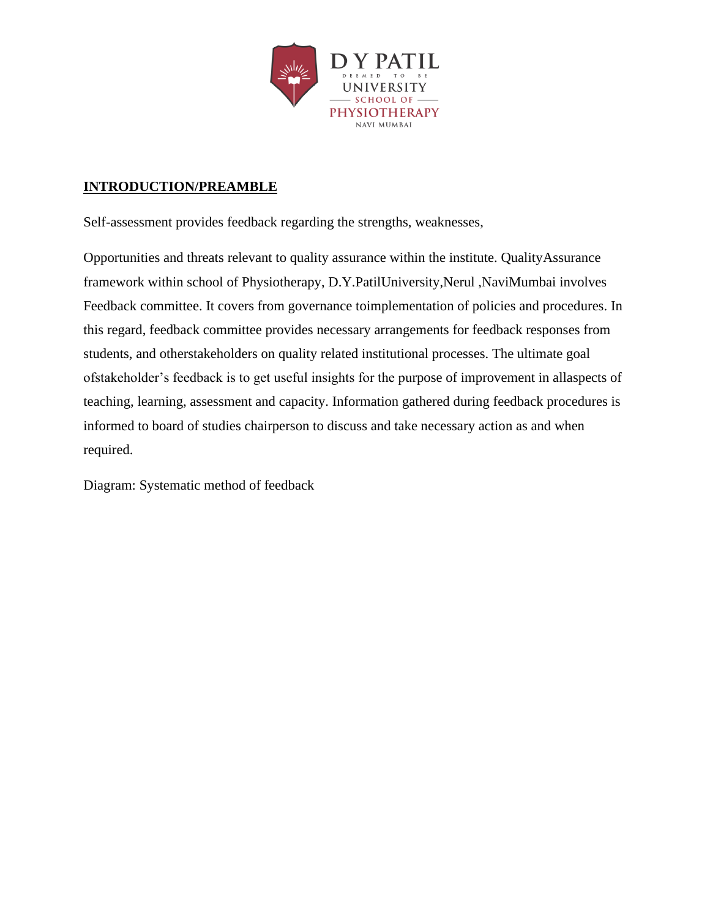

## **INTRODUCTION/PREAMBLE**

Self-assessment provides feedback regarding the strengths, weaknesses,

Opportunities and threats relevant to quality assurance within the institute. QualityAssurance framework within school of Physiotherapy, D.Y.PatilUniversity,Nerul ,NaviMumbai involves Feedback committee. It covers from governance toimplementation of policies and procedures. In this regard, feedback committee provides necessary arrangements for feedback responses from students, and otherstakeholders on quality related institutional processes. The ultimate goal ofstakeholder's feedback is to get useful insights for the purpose of improvement in allaspects of teaching, learning, assessment and capacity. Information gathered during feedback procedures is informed to board of studies chairperson to discuss and take necessary action as and when required.

Diagram: Systematic method of feedback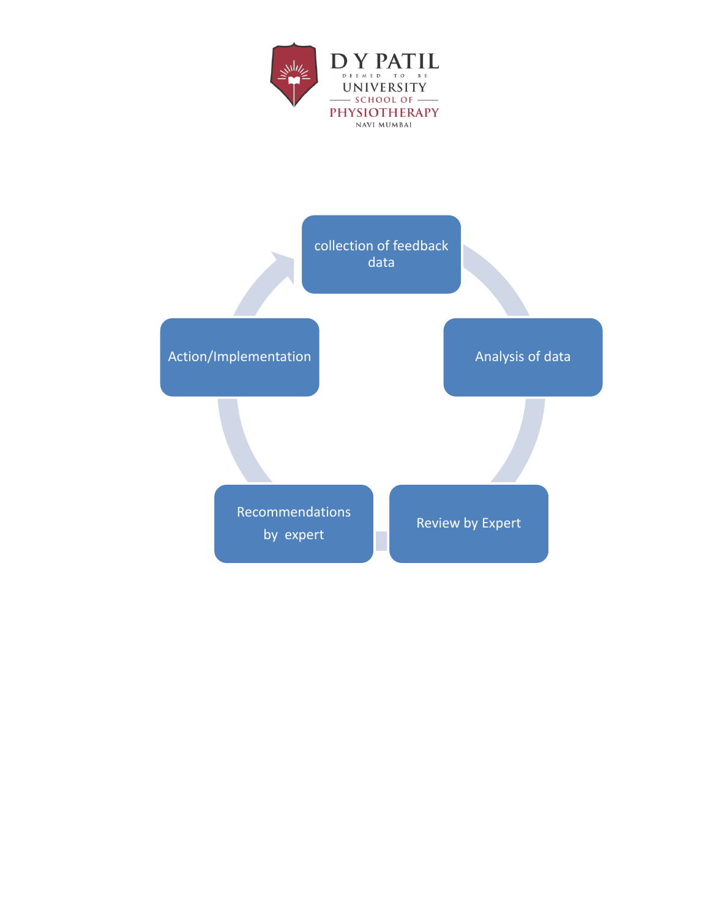

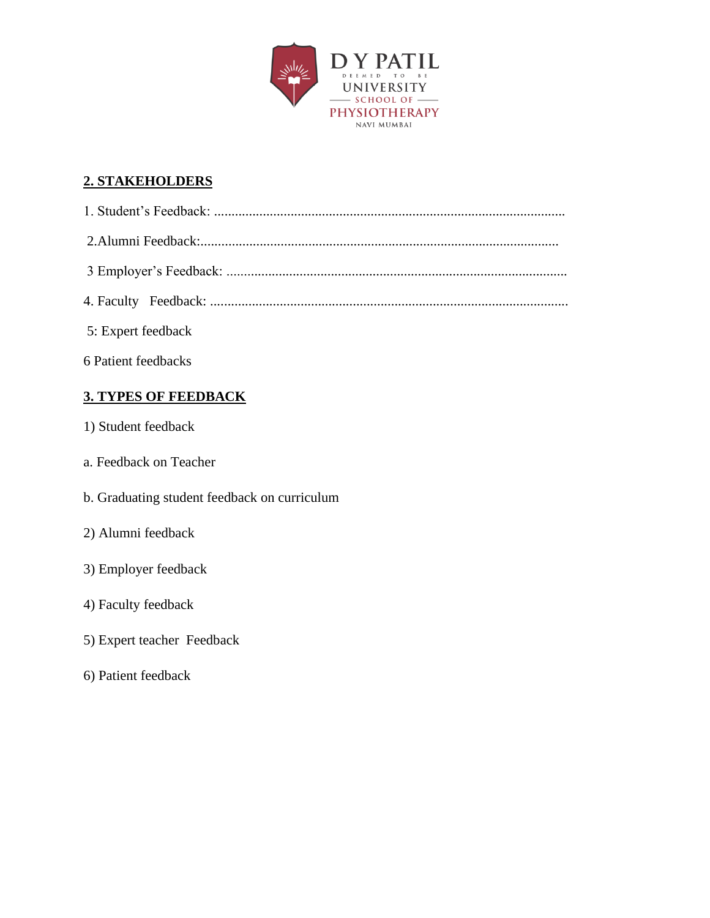

## **2. STAKEHOLDERS**

| 5: Expert feedback |
|--------------------|

6 Patient feedbacks

## **3. TYPES OF FEEDBACK**

- 1) Student feedback
- a. Feedback on Teacher
- b. Graduating student feedback on curriculum

## 2) Alumni feedback

- 3) Employer feedback
- 4) Faculty feedback
- 5) Expert teacher Feedback
- 6) Patient feedback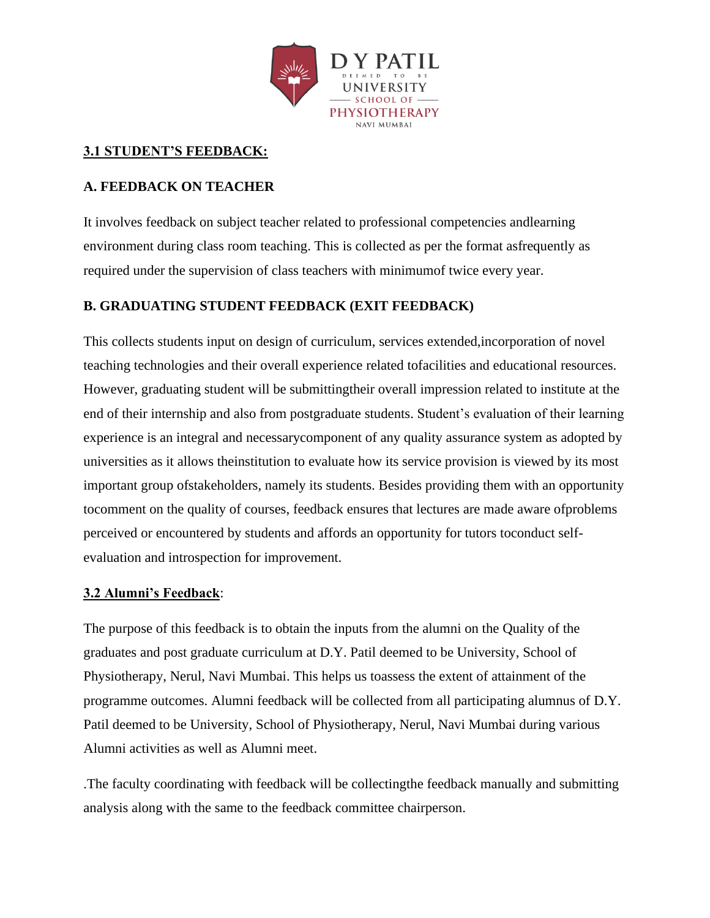

## **3.1 STUDENT'S FEEDBACK:**

## **A. FEEDBACK ON TEACHER**

It involves feedback on subject teacher related to professional competencies andlearning environment during class room teaching. This is collected as per the format asfrequently as required under the supervision of class teachers with minimumof twice every year.

## **B. GRADUATING STUDENT FEEDBACK (EXIT FEEDBACK)**

This collects students input on design of curriculum, services extended,incorporation of novel teaching technologies and their overall experience related tofacilities and educational resources. However, graduating student will be submittingtheir overall impression related to institute at the end of their internship and also from postgraduate students. Student's evaluation of their learning experience is an integral and necessarycomponent of any quality assurance system as adopted by universities as it allows theinstitution to evaluate how its service provision is viewed by its most important group ofstakeholders, namely its students. Besides providing them with an opportunity tocomment on the quality of courses, feedback ensures that lectures are made aware ofproblems perceived or encountered by students and affords an opportunity for tutors toconduct selfevaluation and introspection for improvement.

## **3.2 Alumni's Feedback**:

The purpose of this feedback is to obtain the inputs from the alumni on the Quality of the graduates and post graduate curriculum at D.Y. Patil deemed to be University, School of Physiotherapy, Nerul, Navi Mumbai. This helps us toassess the extent of attainment of the programme outcomes. Alumni feedback will be collected from all participating alumnus of D.Y. Patil deemed to be University, School of Physiotherapy, Nerul, Navi Mumbai during various Alumni activities as well as Alumni meet.

.The faculty coordinating with feedback will be collectingthe feedback manually and submitting analysis along with the same to the feedback committee chairperson.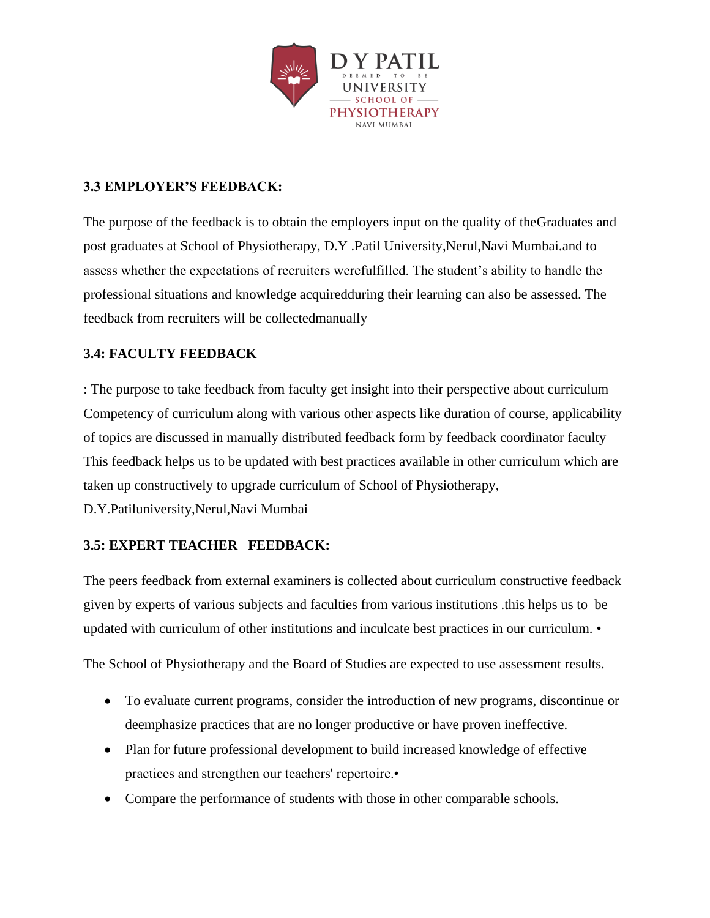

## **3.3 EMPLOYER'S FEEDBACK:**

The purpose of the feedback is to obtain the employers input on the quality of theGraduates and post graduates at School of Physiotherapy, D.Y .Patil University,Nerul,Navi Mumbai.and to assess whether the expectations of recruiters werefulfilled. The student's ability to handle the professional situations and knowledge acquiredduring their learning can also be assessed. The feedback from recruiters will be collectedmanually

## **3.4: FACULTY FEEDBACK**

: The purpose to take feedback from faculty get insight into their perspective about curriculum Competency of curriculum along with various other aspects like duration of course, applicability of topics are discussed in manually distributed feedback form by feedback coordinator faculty This feedback helps us to be updated with best practices available in other curriculum which are taken up constructively to upgrade curriculum of School of Physiotherapy, D.Y.Patiluniversity,Nerul,Navi Mumbai

## **3.5: EXPERT TEACHER FEEDBACK:**

The peers feedback from external examiners is collected about curriculum constructive feedback given by experts of various subjects and faculties from various institutions .this helps us to be updated with curriculum of other institutions and inculcate best practices in our curriculum. •

The School of Physiotherapy and the Board of Studies are expected to use assessment results.

- To evaluate current programs, consider the introduction of new programs, discontinue or deemphasize practices that are no longer productive or have proven ineffective.
- Plan for future professional development to build increased knowledge of effective practices and strengthen our teachers' repertoire.•
- Compare the performance of students with those in other comparable schools.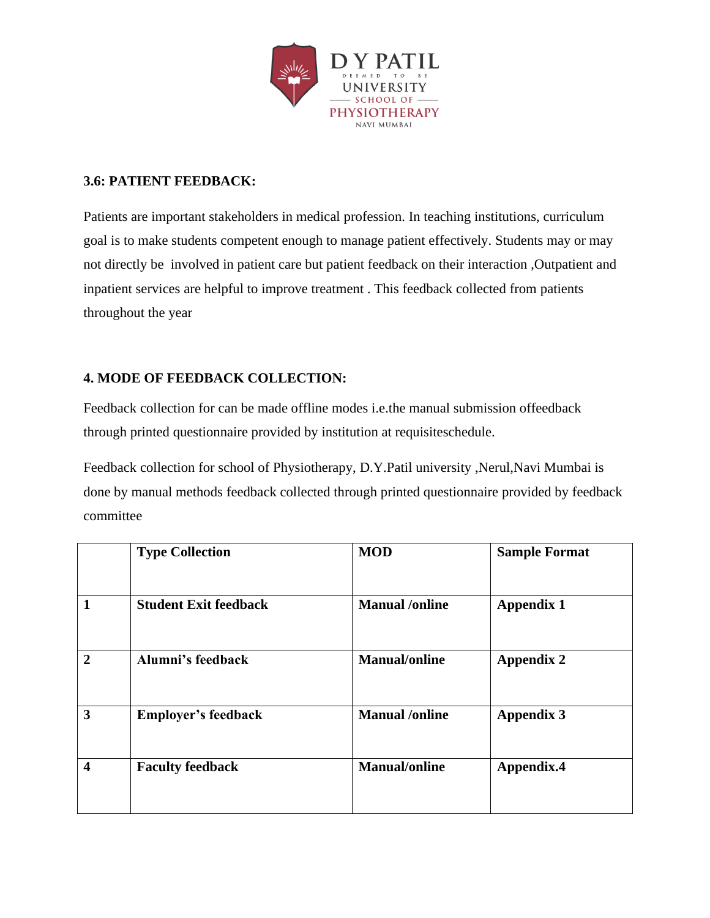

## **3.6: PATIENT FEEDBACK:**

Patients are important stakeholders in medical profession. In teaching institutions, curriculum goal is to make students competent enough to manage patient effectively. Students may or may not directly be involved in patient care but patient feedback on their interaction ,Outpatient and inpatient services are helpful to improve treatment . This feedback collected from patients throughout the year

## **4. MODE OF FEEDBACK COLLECTION:**

Feedback collection for can be made offline modes i.e.the manual submission offeedback through printed questionnaire provided by institution at requisiteschedule.

Feedback collection for school of Physiotherapy, D.Y.Patil university ,Nerul,Navi Mumbai is done by manual methods feedback collected through printed questionnaire provided by feedback committee

|                  | <b>Type Collection</b>       | <b>MOD</b>            | <b>Sample Format</b> |
|------------------|------------------------------|-----------------------|----------------------|
| $\mathbf{1}$     | <b>Student Exit feedback</b> | <b>Manual</b> /online | <b>Appendix 1</b>    |
| $\overline{2}$   | Alumni's feedback            | <b>Manual/online</b>  | <b>Appendix 2</b>    |
| 3                | <b>Employer's feedback</b>   | <b>Manual</b> /online | <b>Appendix 3</b>    |
| $\boldsymbol{4}$ | <b>Faculty feedback</b>      | <b>Manual/online</b>  | Appendix.4           |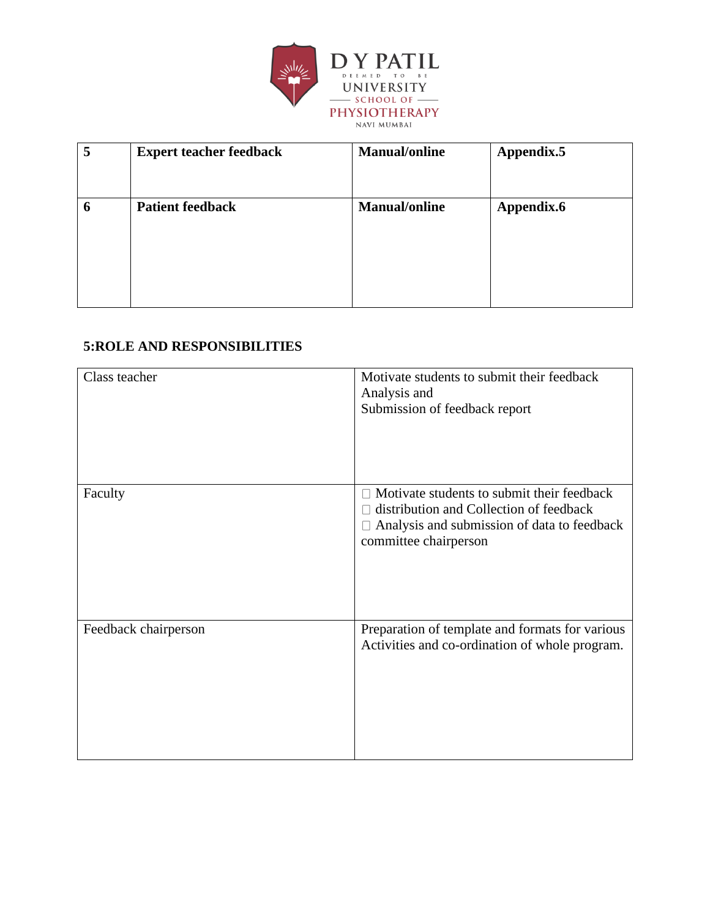

| 5 | <b>Expert teacher feedback</b> | <b>Manual/online</b> | Appendix.5 |
|---|--------------------------------|----------------------|------------|
| 6 | <b>Patient feedback</b>        | <b>Manual/online</b> | Appendix.6 |

## **5:ROLE AND RESPONSIBILITIES**

| Class teacher        | Motivate students to submit their feedback<br>Analysis and<br>Submission of feedback report                                                                   |
|----------------------|---------------------------------------------------------------------------------------------------------------------------------------------------------------|
| Faculty              | Motivate students to submit their feedback<br>distribution and Collection of feedback<br>Analysis and submission of data to feedback<br>committee chairperson |
| Feedback chairperson | Preparation of template and formats for various<br>Activities and co-ordination of whole program.                                                             |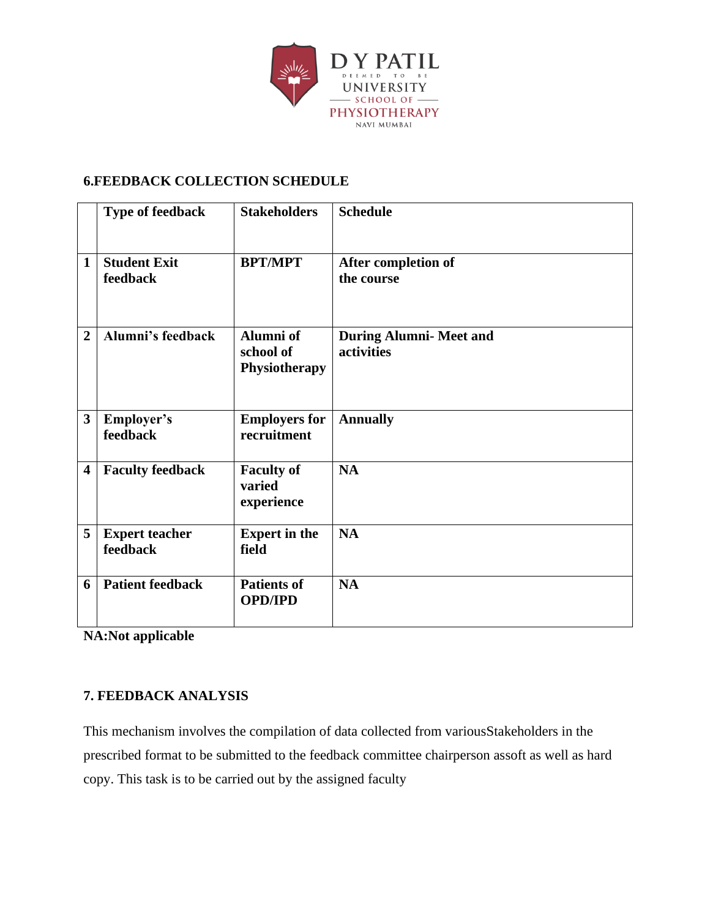

## **6.FEEDBACK COLLECTION SCHEDULE**

|                         | <b>Type of feedback</b>           | <b>Stakeholders</b>                            | <b>Schedule</b>                              |
|-------------------------|-----------------------------------|------------------------------------------------|----------------------------------------------|
| $\mathbf{1}$            | <b>Student Exit</b><br>feedback   | <b>BPT/MPT</b>                                 | After completion of<br>the course            |
| $\overline{2}$          | Alumni's feedback                 | <b>Alumni</b> of<br>school of<br>Physiotherapy | <b>During Alumni- Meet and</b><br>activities |
| $\mathbf{3}$            | Employer's<br>feedback            | <b>Employers for</b><br>recruitment            | <b>Annually</b>                              |
| $\overline{\mathbf{4}}$ | <b>Faculty feedback</b>           | <b>Faculty of</b><br>varied<br>experience      | <b>NA</b>                                    |
| 5                       | <b>Expert teacher</b><br>feedback | <b>Expert in the</b><br>field                  | <b>NA</b>                                    |
| 6                       | <b>Patient feedback</b>           | <b>Patients of</b><br><b>OPD/IPD</b>           | <b>NA</b>                                    |

**NA:Not applicable** 

## **7. FEEDBACK ANALYSIS**

This mechanism involves the compilation of data collected from variousStakeholders in the prescribed format to be submitted to the feedback committee chairperson assoft as well as hard copy. This task is to be carried out by the assigned faculty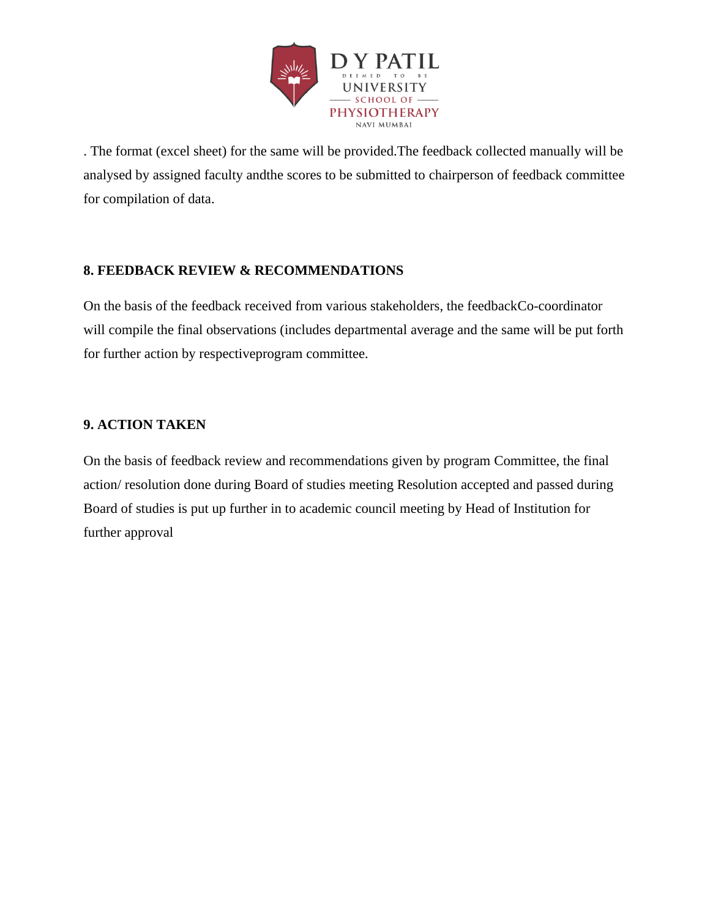

. The format (excel sheet) for the same will be provided.The feedback collected manually will be analysed by assigned faculty andthe scores to be submitted to chairperson of feedback committee for compilation of data.

## **8. FEEDBACK REVIEW & RECOMMENDATIONS**

On the basis of the feedback received from various stakeholders, the feedbackCo-coordinator will compile the final observations (includes departmental average and the same will be put forth for further action by respectiveprogram committee.

## **9. ACTION TAKEN**

On the basis of feedback review and recommendations given by program Committee, the final action/ resolution done during Board of studies meeting Resolution accepted and passed during Board of studies is put up further in to academic council meeting by Head of Institution for further approval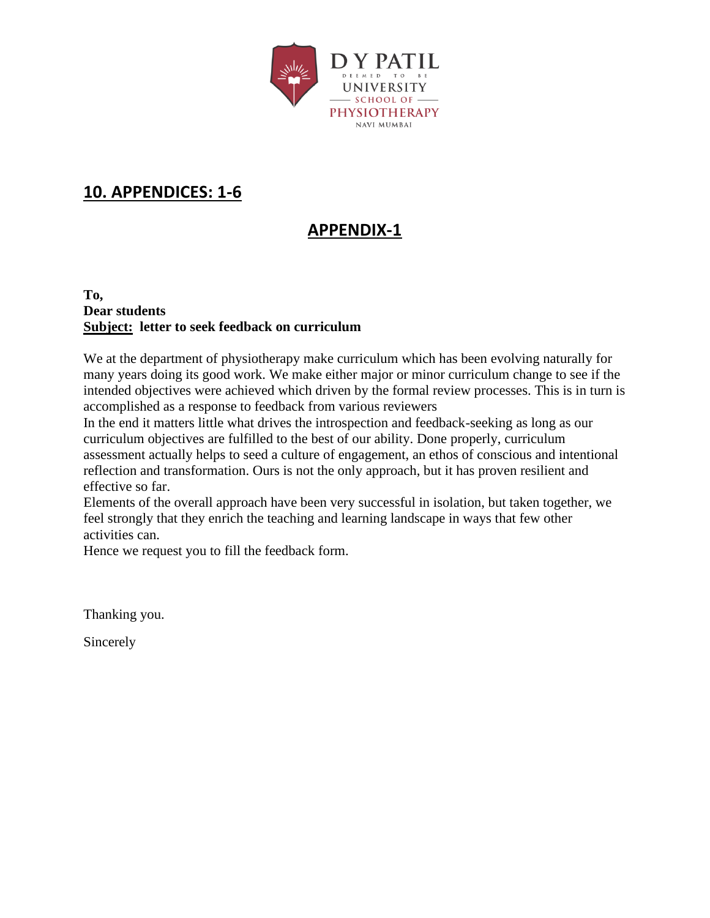

## **10. APPENDICES: 1-6**

## **APPENDIX-1**

## **To, Dear students Subject: letter to seek feedback on curriculum**

We at the department of physiotherapy make curriculum which has been evolving naturally for many years doing its good work. We make either major or minor curriculum change to see if the intended objectives were achieved which driven by the formal review processes. This is in turn is accomplished as a response to feedback from various reviewers

In the end it matters little what drives the introspection and feedback-seeking as long as our curriculum objectives are fulfilled to the best of our ability. Done properly, curriculum assessment actually helps to seed a culture of engagement, an ethos of conscious and intentional reflection and transformation. Ours is not the only approach, but it has proven resilient and effective so far.

Elements of the overall approach have been very successful in isolation, but taken together, we feel strongly that they enrich the teaching and learning landscape in ways that few other activities can.

Hence we request you to fill the feedback form.

Thanking you.

Sincerely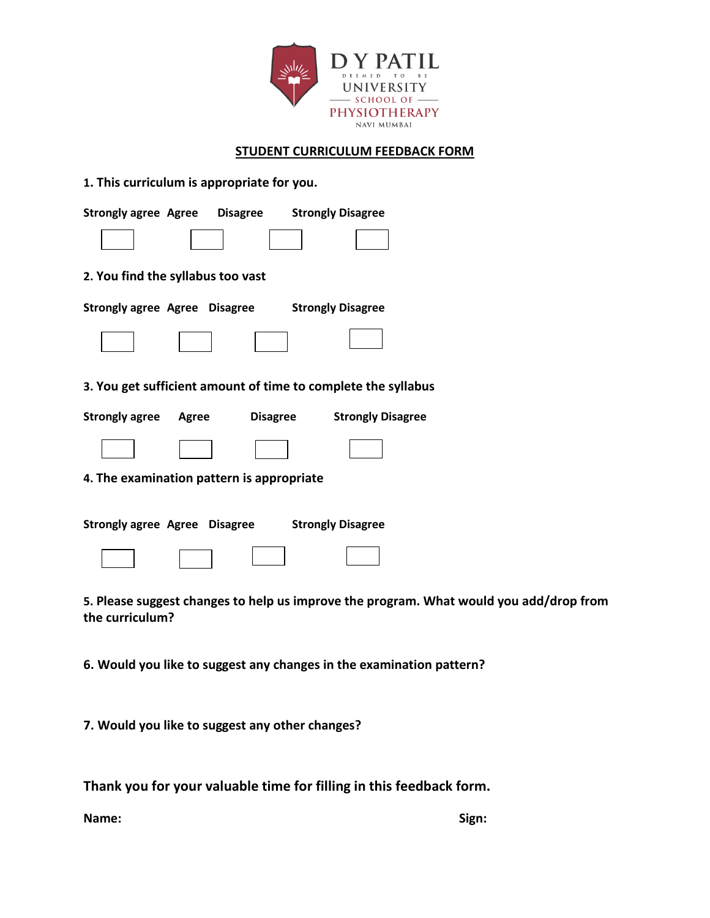

#### **STUDENT CURRICULUM FEEDBACK FORM**

| 1. This curriculum is appropriate for you.                                                                |
|-----------------------------------------------------------------------------------------------------------|
| <b>Strongly agree Agree</b><br><b>Disagree</b><br><b>Strongly Disagree</b>                                |
|                                                                                                           |
| 2. You find the syllabus too vast                                                                         |
| <b>Strongly agree Agree Disagree</b><br><b>Strongly Disagree</b>                                          |
|                                                                                                           |
| 3. You get sufficient amount of time to complete the syllabus                                             |
| <b>Strongly agree</b><br><b>Disagree</b><br><b>Strongly Disagree</b><br>Agree                             |
|                                                                                                           |
| 4. The examination pattern is appropriate                                                                 |
| <b>Strongly agree Agree Disagree</b><br><b>Strongly Disagree</b>                                          |
|                                                                                                           |
| 5. Please suggest changes to help us improve the program. What would you add/drop from<br>the curriculum? |

**6. Would you like to suggest any changes in the examination pattern?**

**7. Would you like to suggest any other changes?**

**Thank you for your valuable time for filling in this feedback form.** 

**Name:** Sign: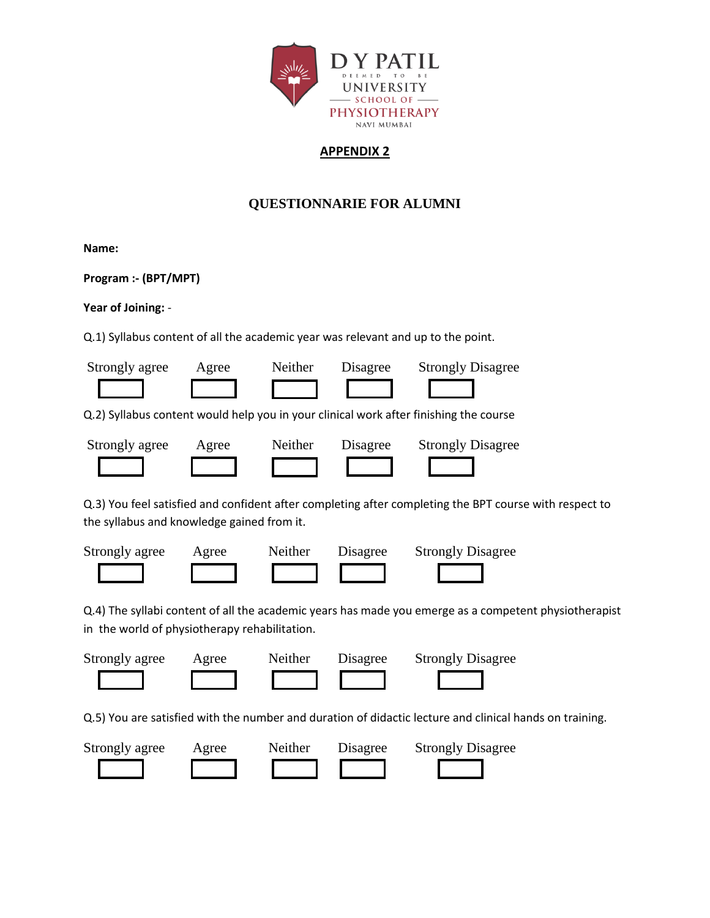

#### **APPENDIX 2**

## **QUESTIONNARIE FOR ALUMNI**

**Name:** 

| Program :- (BPT/MPT)                                                                                                                                   |       |         |          |                                                                                                                   |  |  |
|--------------------------------------------------------------------------------------------------------------------------------------------------------|-------|---------|----------|-------------------------------------------------------------------------------------------------------------------|--|--|
| Year of Joining: -                                                                                                                                     |       |         |          |                                                                                                                   |  |  |
| Q.1) Syllabus content of all the academic year was relevant and up to the point.                                                                       |       |         |          |                                                                                                                   |  |  |
| Strongly agree                                                                                                                                         | Agree | Neither | Disagree | <b>Strongly Disagree</b><br>Q.2) Syllabus content would help you in your clinical work after finishing the course |  |  |
| Strongly agree                                                                                                                                         | Agree | Neither | Disagree | <b>Strongly Disagree</b>                                                                                          |  |  |
| the syllabus and knowledge gained from it.                                                                                                             |       |         |          | Q.3) You feel satisfied and confident after completing after completing the BPT course with respect to            |  |  |
| Strongly agree                                                                                                                                         | Agree | Neither | Disagree | <b>Strongly Disagree</b>                                                                                          |  |  |
| Q.4) The syllabi content of all the academic years has made you emerge as a competent physiotherapist<br>in the world of physiotherapy rehabilitation. |       |         |          |                                                                                                                   |  |  |
| Strongly agree                                                                                                                                         | Agree | Neither | Disagree | <b>Strongly Disagree</b>                                                                                          |  |  |
|                                                                                                                                                        |       |         |          | Q.5) You are satisfied with the number and duration of didactic lecture and clinical hands on training.           |  |  |
| Strongly agree                                                                                                                                         | Agree | Neither | Disagree | <b>Strongly Disagree</b>                                                                                          |  |  |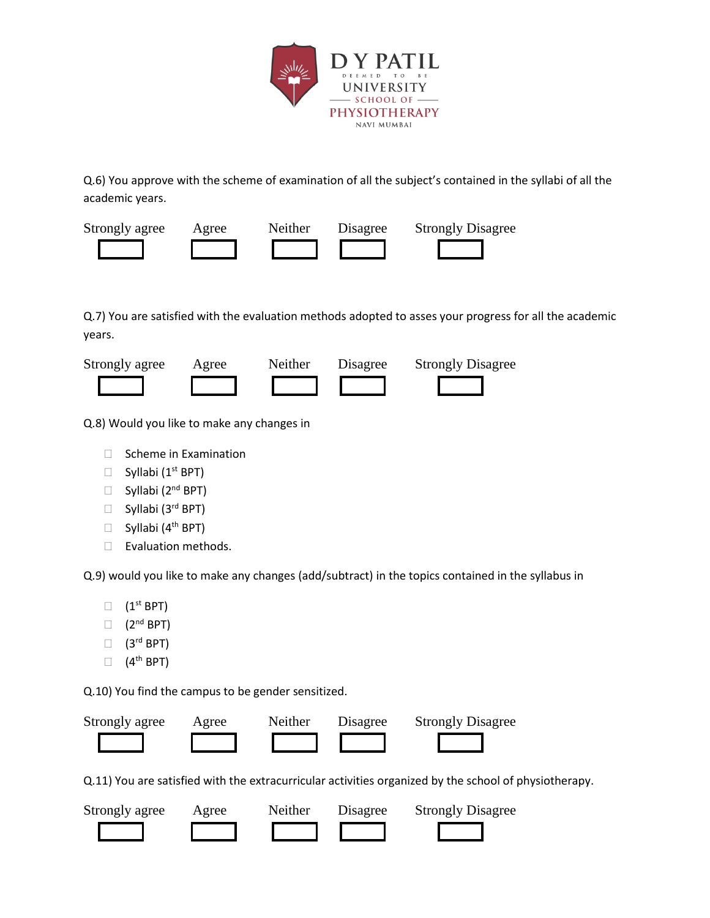

Q.6) You approve with the scheme of examination of all the subject's contained in the syllabi of all the academic years.



Q.7) You are satisfied with the evaluation methods adopted to asses your progress for all the academic years.



Q.8) Would you like to make any changes in

- $\Box$  Scheme in Examination
- $\Box$  Syllabi (1<sup>st</sup> BPT)
- $\Box$  Syllabi (2<sup>nd</sup> BPT)
- $\Box$  Syllabi (3<sup>rd</sup> BPT)
- $\Box$  Syllabi (4<sup>th</sup> BPT)
- Evaluation methods.

Q.9) would you like to make any changes (add/subtract) in the topics contained in the syllabus in

- $\Box$  (1<sup>st</sup> BPT)
- $\Box$  (2<sup>nd</sup> BPT)
- $\Box$  (3<sup>rd</sup> BPT)
- $\Box$  (4<sup>th</sup> BPT)

Q.10) You find the campus to be gender sensitized.



Q.11) You are satisfied with the extracurricular activities organized by the school of physiotherapy.

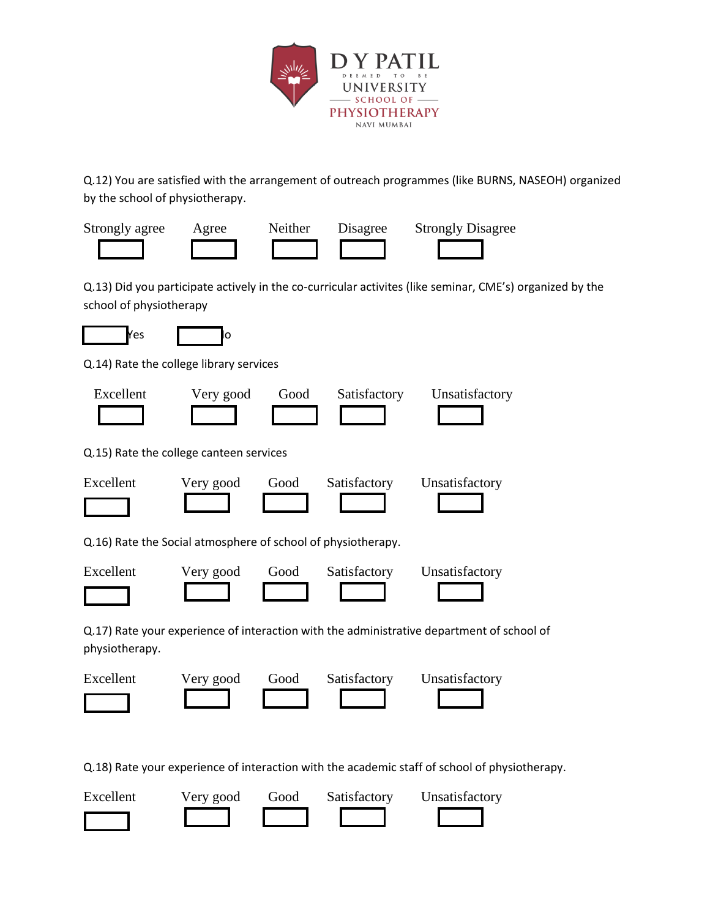

Q.12) You are satisfied with the arrangement of outreach programmes (like BURNS, NASEOH) organized by the school of physiotherapy.



Yes No

Q.14) Rate the college library services

| Excellent                                                                                                   | Very good | Good | Satisfactory | Unsatisfactory |  |  |  |
|-------------------------------------------------------------------------------------------------------------|-----------|------|--------------|----------------|--|--|--|
| Q.15) Rate the college canteen services                                                                     |           |      |              |                |  |  |  |
| Excellent                                                                                                   | Very good | Good | Satisfactory | Unsatisfactory |  |  |  |
| Q.16) Rate the Social atmosphere of school of physiotherapy.                                                |           |      |              |                |  |  |  |
| Excellent                                                                                                   | Very good | Good | Satisfactory | Unsatisfactory |  |  |  |
| Q.17) Rate your experience of interaction with the administrative department of school of<br>physiotherapy. |           |      |              |                |  |  |  |
| Excellent                                                                                                   | Very good | Good | Satisfactory | Unsatisfactory |  |  |  |

Q.18) Rate your experience of interaction with the academic staff of school of physiotherapy.

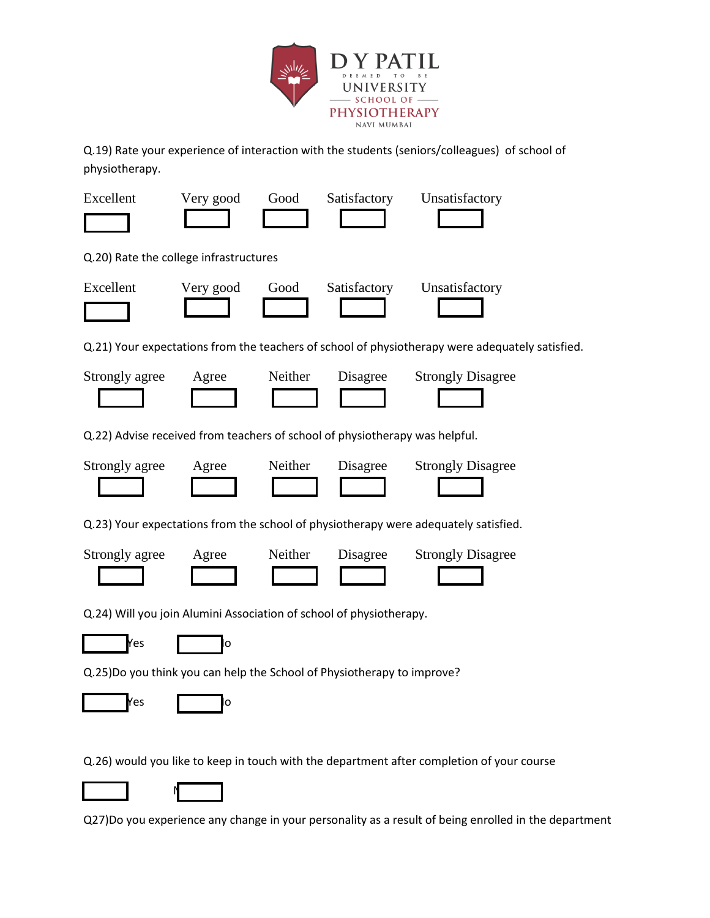

Q.19) Rate your experience of interaction with the students (seniors/colleagues) of school of physiotherapy.

| Excellent                                                                   | Very good | Good    | Satisfactory | Unsatisfactory                                                                                  |  |  |  |
|-----------------------------------------------------------------------------|-----------|---------|--------------|-------------------------------------------------------------------------------------------------|--|--|--|
| Q.20) Rate the college infrastructures                                      |           |         |              |                                                                                                 |  |  |  |
| Excellent                                                                   | Very good | Good    | Satisfactory | Unsatisfactory                                                                                  |  |  |  |
|                                                                             |           |         |              | Q.21) Your expectations from the teachers of school of physiotherapy were adequately satisfied. |  |  |  |
| Strongly agree                                                              | Agree     | Neither | Disagree     | <b>Strongly Disagree</b>                                                                        |  |  |  |
| Q.22) Advise received from teachers of school of physiotherapy was helpful. |           |         |              |                                                                                                 |  |  |  |
| Strongly agree                                                              | Agree     | Neither | Disagree     | <b>Strongly Disagree</b>                                                                        |  |  |  |
|                                                                             |           |         |              | Q.23) Your expectations from the school of physiotherapy were adequately satisfied.             |  |  |  |
| Strongly agree                                                              | Agree     | Neither | Disagree     | <b>Strongly Disagree</b>                                                                        |  |  |  |
| Q.24) Will you join Alumini Association of school of physiotherapy.         |           |         |              |                                                                                                 |  |  |  |
| <b>Yes</b>                                                                  | о         |         |              |                                                                                                 |  |  |  |
| Q.25)Do you think you can help the School of Physiotherapy to improve?      |           |         |              |                                                                                                 |  |  |  |
| Yes                                                                         | o         |         |              |                                                                                                 |  |  |  |
|                                                                             |           |         |              |                                                                                                 |  |  |  |

Q.26) would you like to keep in touch with the department after completion of your course



Q27)Do you experience any change in your personality as a result of being enrolled in the department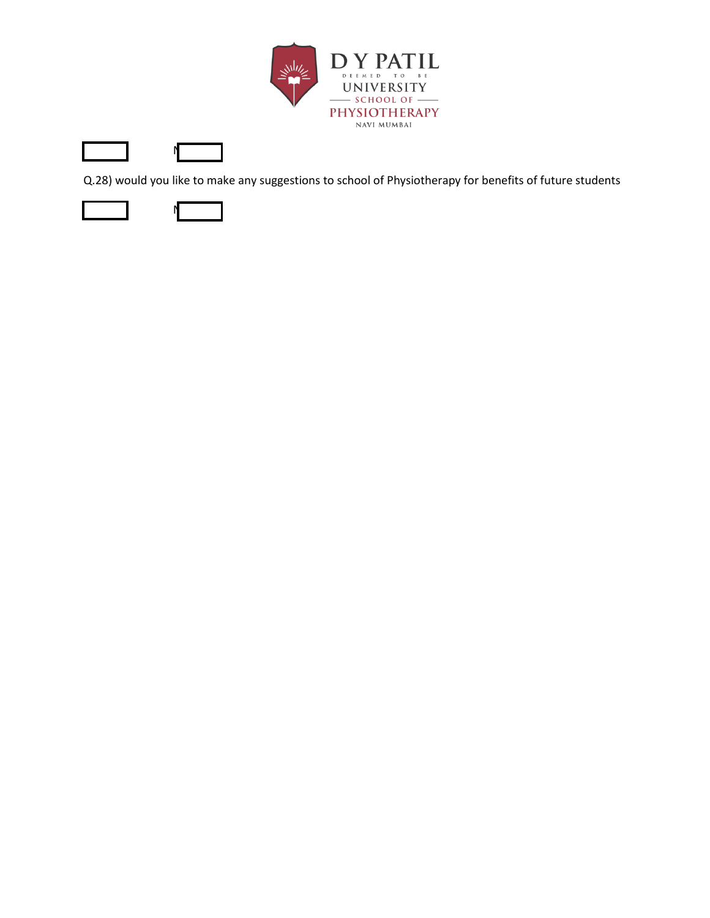





Q.28) would you like to make any suggestions to school of Physiotherapy for benefits of future students

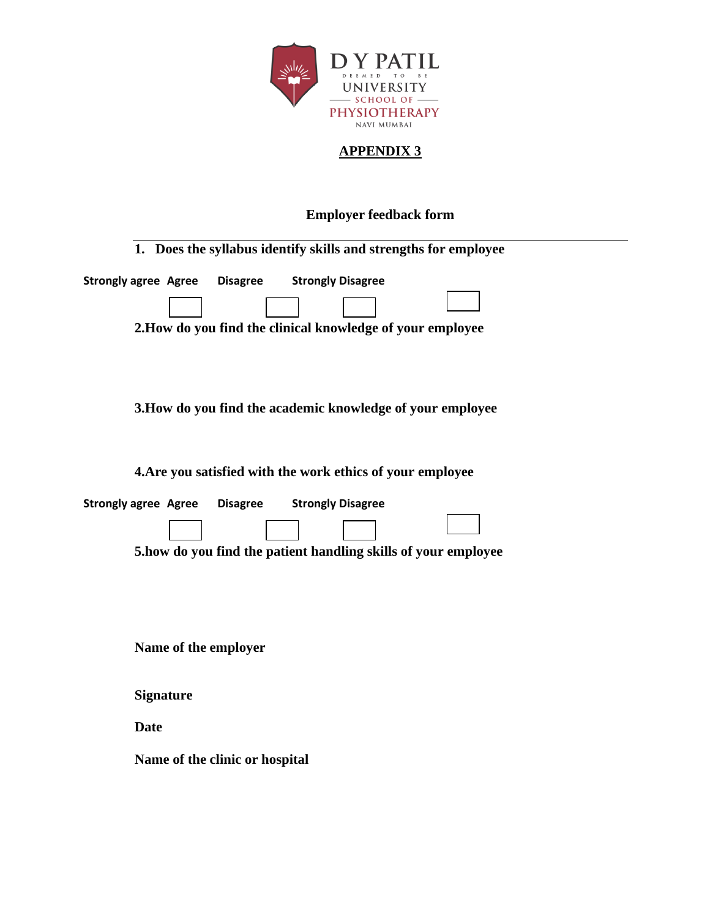

## **APPENDIX 3**

## **Employer feedback form**

| 1. Does the syllabus identify skills and strengths for employee                                                                              |
|----------------------------------------------------------------------------------------------------------------------------------------------|
| <b>Strongly agree Agree</b><br><b>Disagree</b><br><b>Strongly Disagree</b><br>2. How do you find the clinical knowledge of your employee     |
| 3. How do you find the academic knowledge of your employee                                                                                   |
| 4. Are you satisfied with the work ethics of your employee                                                                                   |
| <b>Strongly agree Agree</b><br><b>Disagree</b><br><b>Strongly Disagree</b><br>5.how do you find the patient handling skills of your employee |
| Name of the employer                                                                                                                         |
| <b>Signature</b>                                                                                                                             |
| <b>Date</b>                                                                                                                                  |
| Name of the clinic or hospital                                                                                                               |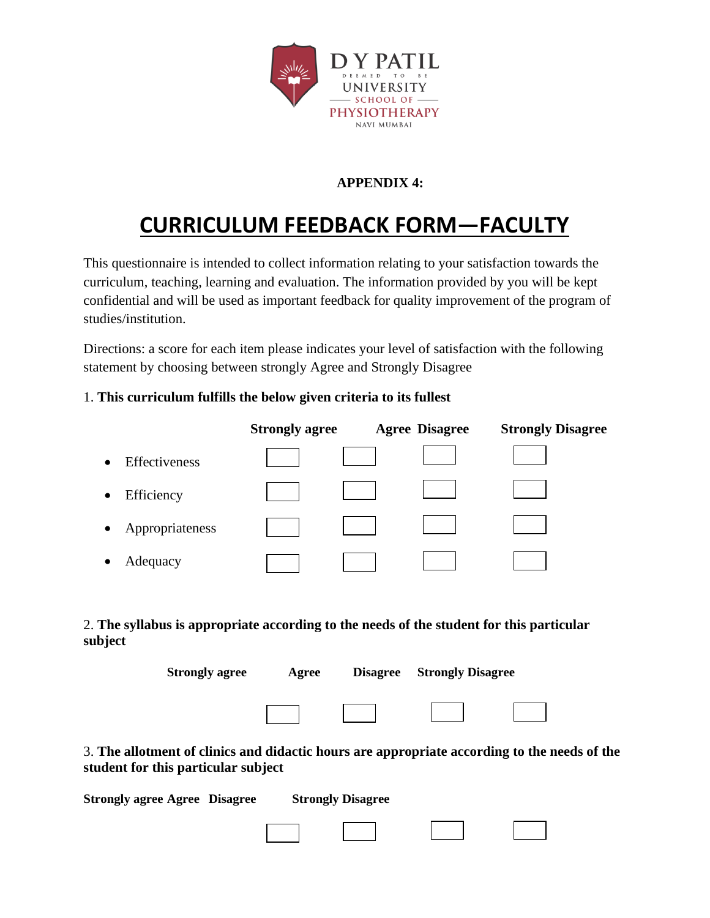

## **APPENDIX 4:**

# **CURRICULUM FEEDBACK FORM—FACULTY**

This questionnaire is intended to collect information relating to your satisfaction towards the curriculum, teaching, learning and evaluation. The information provided by you will be kept confidential and will be used as important feedback for quality improvement of the program of studies/institution.

Directions: a score for each item please indicates your level of satisfaction with the following statement by choosing between strongly Agree and Strongly Disagree

## 1. **This curriculum fulfills the below given criteria to its fullest**

|           |                 | <b>Strongly agree</b> | <b>Agree Disagree</b> | <b>Strongly Disagree</b> |
|-----------|-----------------|-----------------------|-----------------------|--------------------------|
| $\bullet$ | Effectiveness   |                       |                       |                          |
| $\bullet$ | Efficiency      |                       |                       |                          |
| $\bullet$ | Appropriateness |                       |                       |                          |
| $\bullet$ | Adequacy        |                       |                       |                          |

## 2. **The syllabus is appropriate according to the needs of the student for this particular subject**

| <b>Strongly agree</b> | Agree | <b>Disagree</b> Strongly Disagree |
|-----------------------|-------|-----------------------------------|
|                       |       |                                   |

## 3. **The allotment of clinics and didactic hours are appropriate according to the needs of the student for this particular subject**

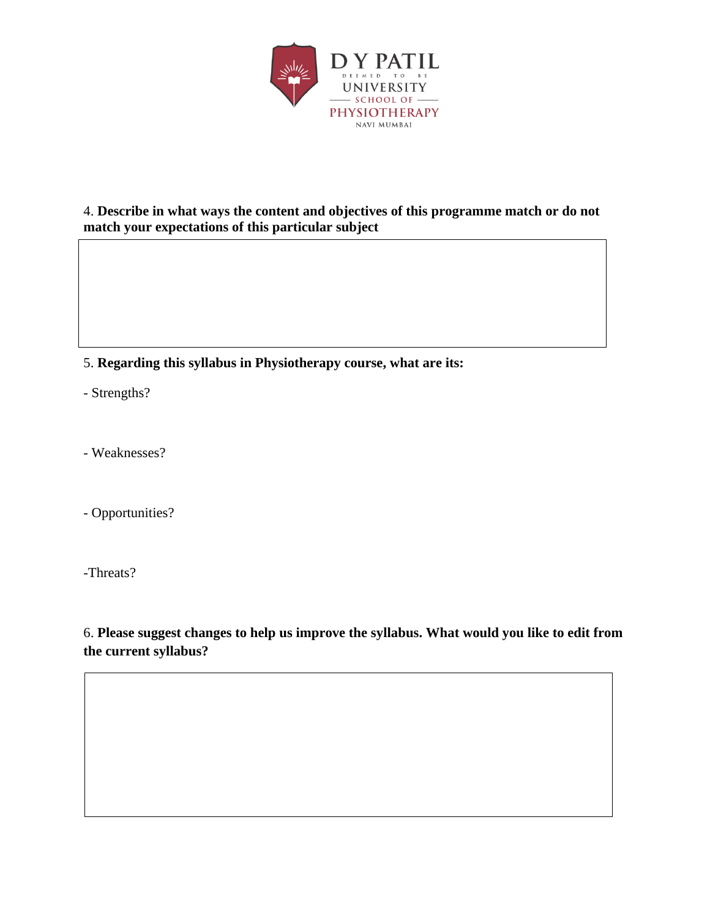

## 4. **Describe in what ways the content and objectives of this programme match or do not match your expectations of this particular subject**

## 5. **Regarding this syllabus in Physiotherapy course, what are its:**

- Strengths?

- Weaknesses?

- Opportunities?

-Threats?

6. **Please suggest changes to help us improve the syllabus. What would you like to edit from the current syllabus?**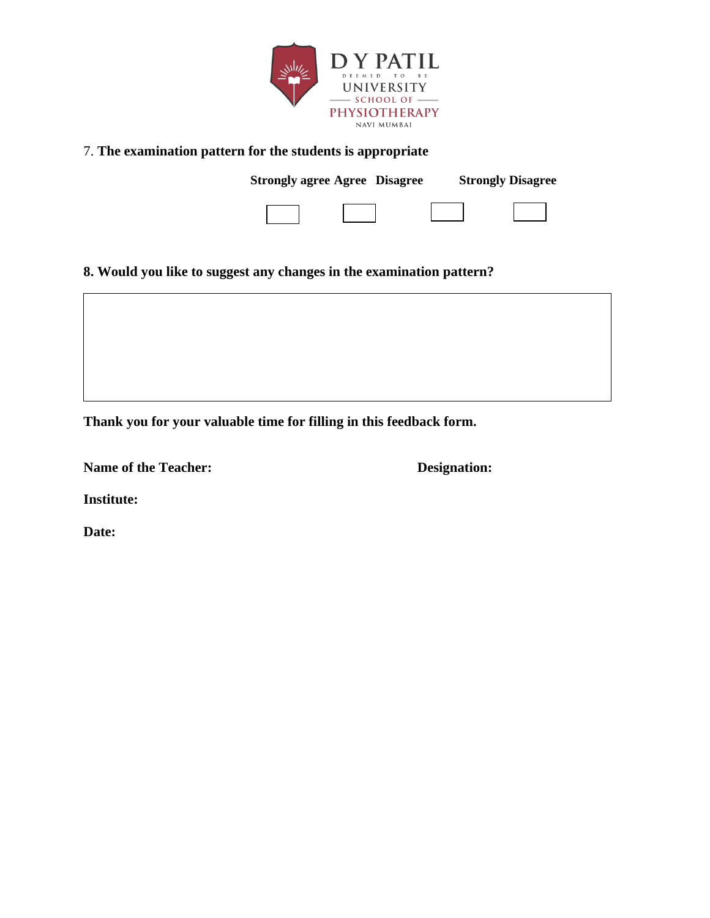

## 7. **The examination pattern for the students is appropriate**

**Strongly agree Agree Disagree Strongly Disagree**

**8. Would you like to suggest any changes in the examination pattern?**

**Thank you for your valuable time for filling in this feedback form.** 

**Name of the Teacher: Designation:**

**Institute:**

**Date:**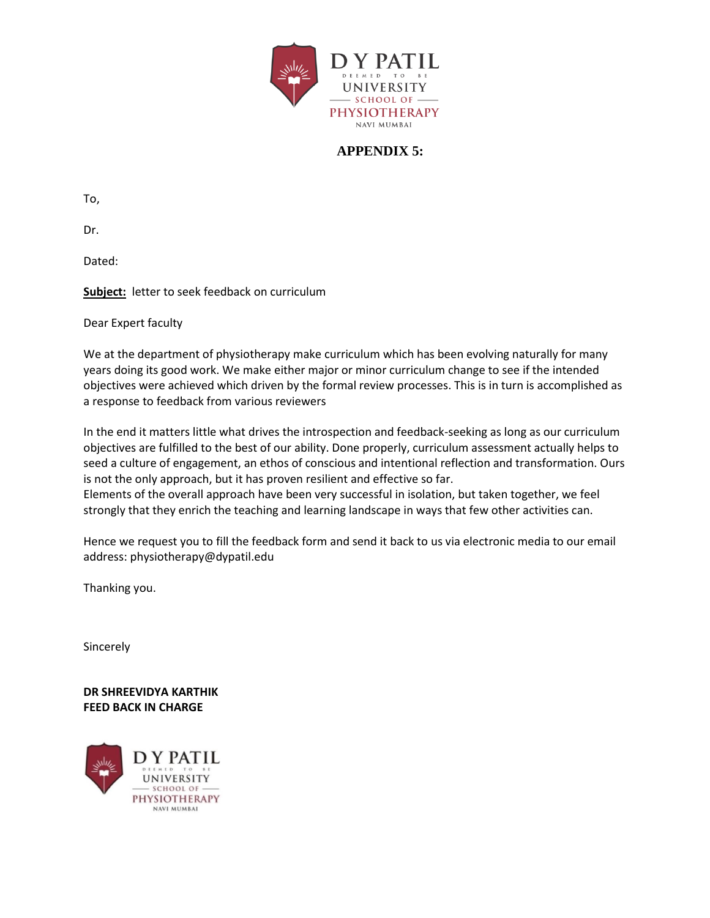

## **APPENDIX 5:**

To,

Dr.

Dated:

#### **Subject:** letter to seek feedback on curriculum

Dear Expert faculty

We at the department of physiotherapy make curriculum which has been evolving naturally for many years doing its good work. We make either major or minor curriculum change to see if the intended objectives were achieved which driven by the formal review processes. This is in turn is accomplished as a response to feedback from various reviewers

In the end it matters little what drives the introspection and feedback-seeking as long as our curriculum objectives are fulfilled to the best of our ability. Done properly, curriculum assessment actually helps to seed a culture of engagement, an ethos of conscious and intentional reflection and transformation. Ours is not the only approach, but it has proven resilient and effective so far. Elements of the overall approach have been very successful in isolation, but taken together, we feel strongly that they enrich the teaching and learning landscape in ways that few other activities can.

Hence we request you to fill the feedback form and send it back to us via electronic media to our email address: physiotherapy@dypatil.edu

Thanking you.

**Sincerely** 

**DR SHREEVIDYA KARTHIK FEED BACK IN CHARGE**

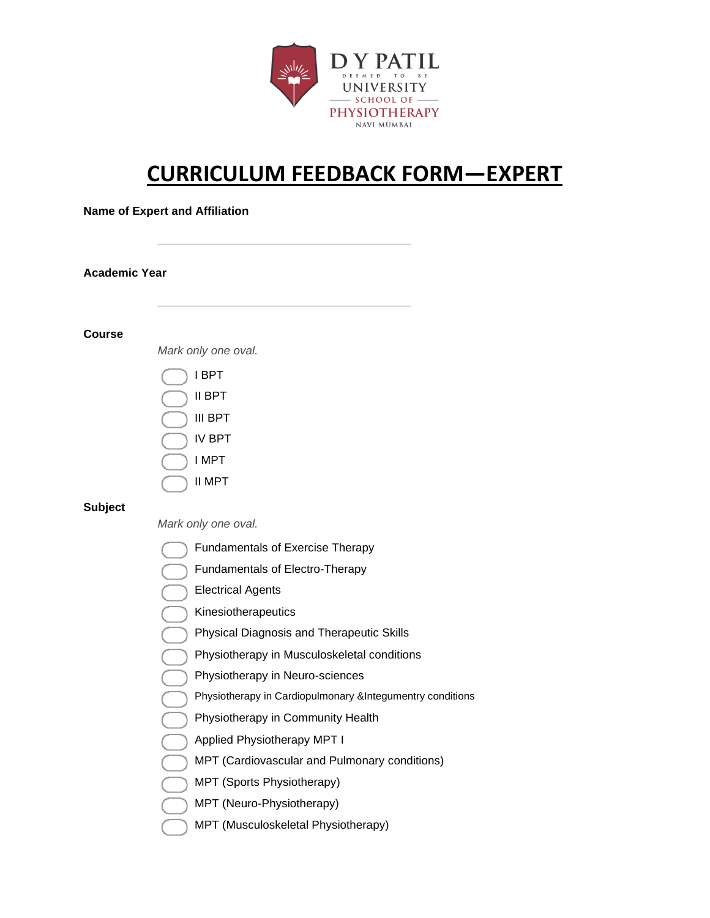

## **CURRICULUM FEEDBACK FORM—EXPERT**

|                      | <b>Name of Expert and Affiliation</b>                     |
|----------------------|-----------------------------------------------------------|
|                      |                                                           |
| <b>Academic Year</b> |                                                           |
|                      |                                                           |
|                      |                                                           |
| <b>Course</b>        |                                                           |
|                      | Mark only one oval.                                       |
|                      | I BPT                                                     |
|                      | II BPT                                                    |
|                      | III BPT                                                   |
|                      | IV BPT                                                    |
|                      | I MPT                                                     |
|                      | II MPT                                                    |
| <b>Subject</b>       |                                                           |
|                      | Mark only one oval.                                       |
|                      | <b>Fundamentals of Exercise Therapy</b>                   |
|                      | Fundamentals of Electro-Therapy                           |
|                      | <b>Electrical Agents</b>                                  |
|                      | Kinesiotherapeutics                                       |
|                      | <b>Physical Diagnosis and Therapeutic Skills</b>          |
|                      | Physiotherapy in Musculoskeletal conditions               |
|                      | Physiotherapy in Neuro-sciences                           |
|                      | Physiotherapy in Cardiopulmonary &Integumentry conditions |
|                      | Physiotherapy in Community Health                         |
|                      | Applied Physiotherapy MPT I                               |
|                      | MPT (Cardiovascular and Pulmonary conditions)             |
|                      | MPT (Sports Physiotherapy)                                |
|                      | MPT (Neuro-Physiotherapy)                                 |
|                      | MPT (Musculoskeletal Physiotherapy)                       |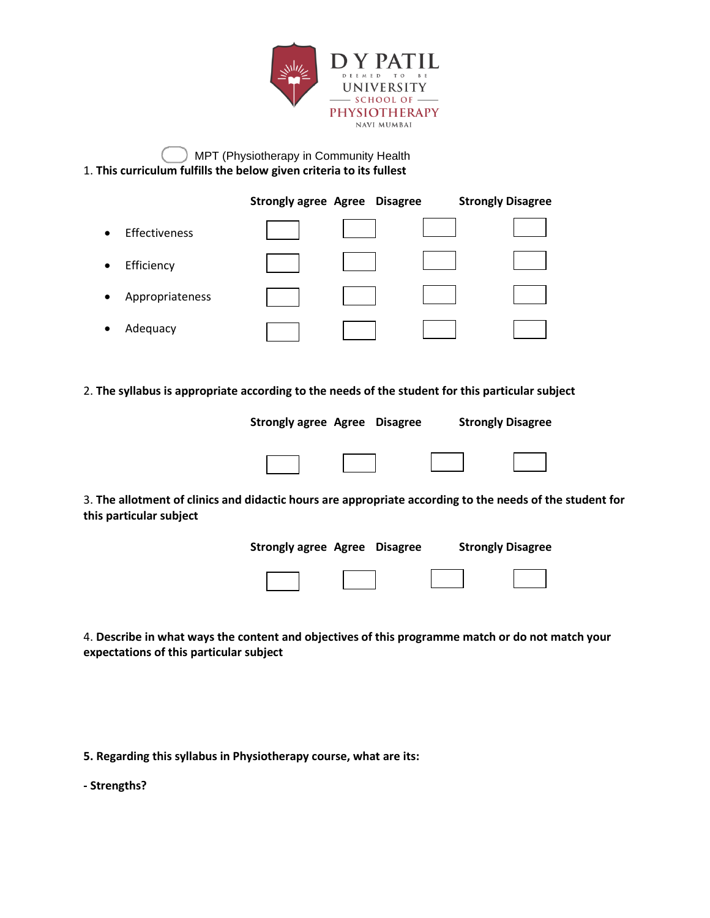

MPT (Physiotherapy in Community Health 1. **This curriculum fulfills the below given criteria to its fullest**

|           |                 | <b>Strongly agree Agree Disagree</b> |  | <b>Strongly Disagree</b> |  |
|-----------|-----------------|--------------------------------------|--|--------------------------|--|
| $\bullet$ | Effectiveness   |                                      |  |                          |  |
|           | Efficiency      |                                      |  |                          |  |
| $\bullet$ | Appropriateness |                                      |  |                          |  |
|           | Adequacy        |                                      |  |                          |  |

2. **The syllabus is appropriate according to the needs of the student for this particular subject**

**Strongly agree Agree Disagree Strongly Disagree**



3. **The allotment of clinics and didactic hours are appropriate according to the needs of the student for this particular subject**



4. **Describe in what ways the content and objectives of this programme match or do not match your expectations of this particular subject**

**5. Regarding this syllabus in Physiotherapy course, what are its:**

**- Strengths?**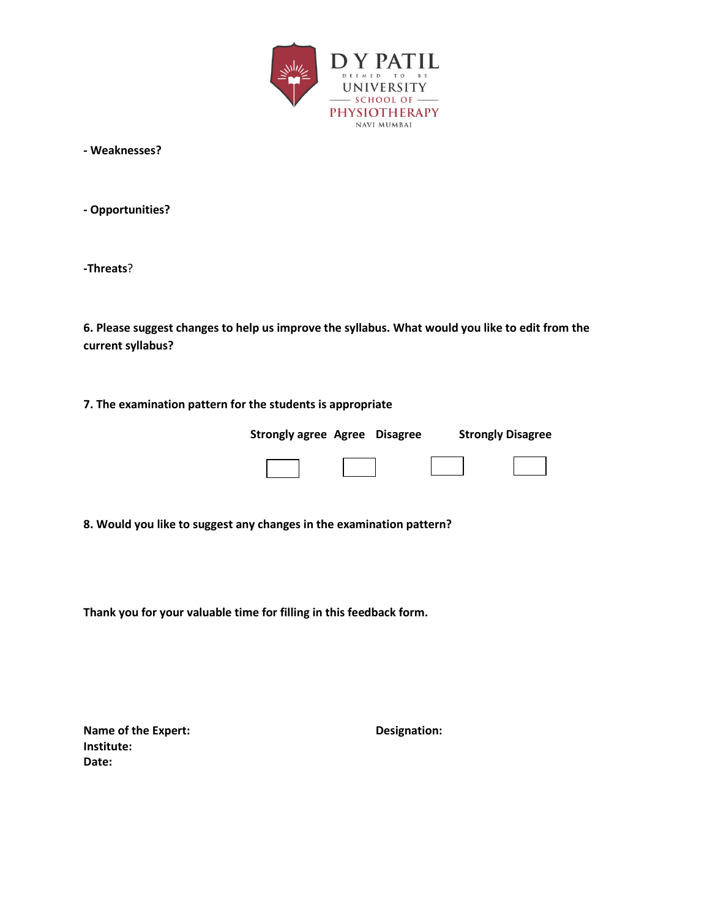

**- Weaknesses?**

**- Opportunities?**

**-Threats**?

**6. Please suggest changes to help us improve the syllabus. What would you like to edit from the current syllabus?** 

**7. The examination pattern for the students is appropriate**

| <b>Strongly agree Agree Disagree</b> |  | <b>Strongly Disagree</b> |
|--------------------------------------|--|--------------------------|
|                                      |  |                          |

**8. Would you like to suggest any changes in the examination pattern?**

**Thank you for your valuable time for filling in this feedback form.** 

| <b>Name of the Expert:</b> |  |
|----------------------------|--|
| Institute:                 |  |
| Date:                      |  |

**Designation:**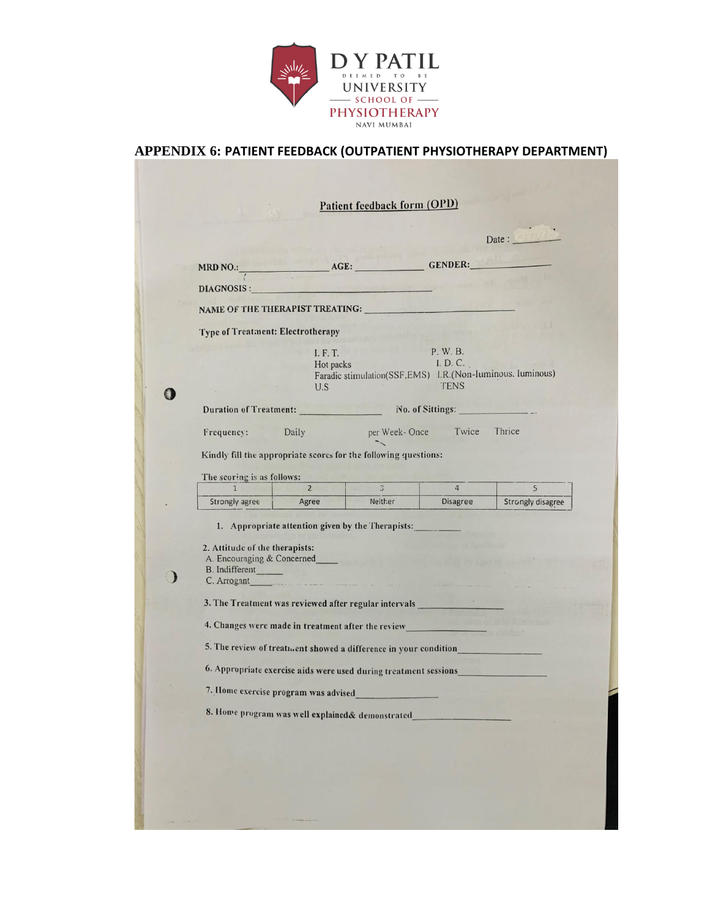

## **APPENDIX 6: PATIENT FEEDBACK (OUTPATIENT PHYSIOTHERAPY DEPARTMENT)**

|                                                  |                                           |                                                                                                                                                                                                                                                      |                                     | Date:             |
|--------------------------------------------------|-------------------------------------------|------------------------------------------------------------------------------------------------------------------------------------------------------------------------------------------------------------------------------------------------------|-------------------------------------|-------------------|
| <b>MRD NO.:</b>                                  |                                           | AGE: GENDER:                                                                                                                                                                                                                                         |                                     |                   |
| DIAGNOSIS :_                                     |                                           | is it is a window to the                                                                                                                                                                                                                             |                                     |                   |
|                                                  |                                           | NAME OF THE THERAPIST TREATING:                                                                                                                                                                                                                      |                                     |                   |
| Type of Treatment: Electrotherapy                |                                           |                                                                                                                                                                                                                                                      |                                     |                   |
|                                                  | I. F. T.<br>Hot packs<br>U.S              | Faradic stimulation(SSF,EMS) I.R.(Non-luminous. luminous)                                                                                                                                                                                            | P. W. B.<br>I. D. C.<br><b>TENS</b> |                   |
| <b>Duration of Treatment:</b>                    |                                           | No. of Sittings:                                                                                                                                                                                                                                     |                                     |                   |
| Frequency:                                       | Daily                                     | per Week-Once                                                                                                                                                                                                                                        | Twice                               | Thrice            |
| The scoring is as follows:<br>$\overline{1}$     | $\overline{2}$                            | $\overline{3}$                                                                                                                                                                                                                                       | $\overline{4}$                      | 5                 |
| Strongly agree                                   | Agree                                     | Neither                                                                                                                                                                                                                                              |                                     |                   |
|                                                  |                                           | 1. Appropriate attention given by the Therapists:                                                                                                                                                                                                    | <b>Disagree</b>                     | Strongly disagree |
| 2. Attitude of the therapists:<br>B. Indifferent | A. Encouraging & Concerned<br>C. Arrogant | 3. The Treatment was reviewed after regular intervals<br>4. Changes were made in treatment after the review<br>5. The review of treatment showed a difference in your condition_<br>6. Appropriate exercise aids were used during treatment sessions |                                     |                   |
|                                                  |                                           |                                                                                                                                                                                                                                                      |                                     |                   |
|                                                  | 7. Home exercise program was advised_     | 8. Home program was well explained& demonstrated                                                                                                                                                                                                     |                                     |                   |